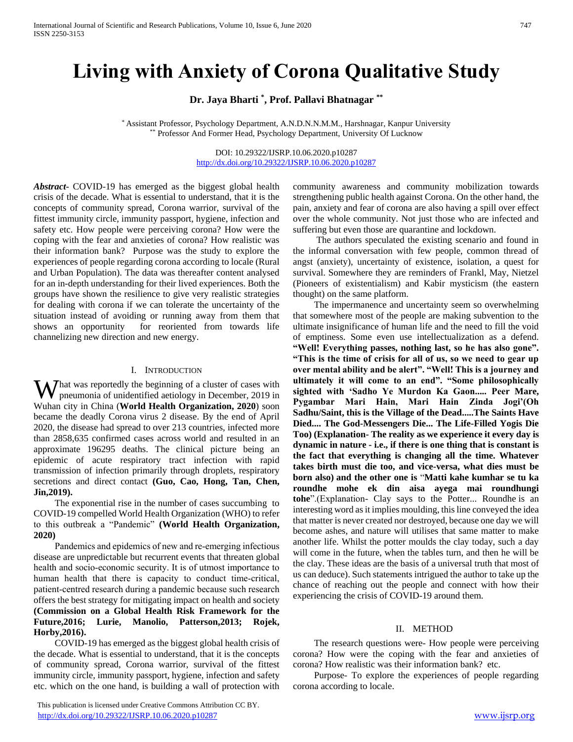# **Living with Anxiety of Corona Qualitative Study**

**Dr. Jaya Bharti \* , Prof. Pallavi Bhatnagar \*\***

\* Assistant Professor, Psychology Department, A.N.D.N.N.M.M., Harshnagar, Kanpur University \*\* Professor And Former Head, Psychology Department, University Of Lucknow

> DOI: 10.29322/IJSRP.10.06.2020.p10287 <http://dx.doi.org/10.29322/IJSRP.10.06.2020.p10287>

*Abstract***-** COVID-19 has emerged as the biggest global health crisis of the decade. What is essential to understand, that it is the concepts of community spread, Corona warrior, survival of the fittest immunity circle, immunity passport, hygiene, infection and safety etc. How people were perceiving corona? How were the coping with the fear and anxieties of corona? How realistic was their information bank? Purpose was the study to explore the experiences of people regarding corona according to locale (Rural and Urban Population). The data was thereafter content analysed for an in-depth understanding for their lived experiences. Both the groups have shown the resilience to give very realistic strategies for dealing with corona if we can tolerate the uncertainty of the situation instead of avoiding or running away from them that shows an opportunity for reoriented from towards life channelizing new direction and new energy.

#### I. INTRODUCTION

What was reportedly the beginning of a cluster of cases with<br>pneumonia of unidentified aetiology in December, 2019 in pneumonia of unidentified aetiology in December, 2019 in Wuhan city in China (**World Health Organization, 2020**) soon became the deadly Corona virus 2 disease. By the end of April 2020, the disease had spread to over 213 countries, infected more than 2858,635 confirmed cases across world and resulted in an approximate 196295 deaths. The clinical picture being an epidemic of acute respiratory tract infection with rapid transmission of infection primarily through droplets, respiratory secretions and direct contact **(Guo, Cao, Hong, Tan, Chen, Jin,2019).**

 The exponential rise in the number of cases succumbing to COVID-19 compelled World Health Organization (WHO) to refer to this outbreak a "Pandemic" **(World Health Organization, 2020)**

 Pandemics and epidemics of new and re‐emerging infectious disease are unpredictable but recurrent events that threaten global health and socio‐economic security. It is of utmost importance to human health that there is capacity to conduct time-critical, patient-centred research during a pandemic because such research offers the best strategy for mitigating impact on health and society **(Commission on a Global Health Risk Framework for the Future,2016; Lurie, Manolio, Patterson,2013; Rojek, Horby,2016).** 

 COVID-19 has emerged as the biggest global health crisis of the decade. What is essential to understand, that it is the concepts of community spread, Corona warrior, survival of the fittest immunity circle, immunity passport, hygiene, infection and safety etc. which on the one hand, is building a wall of protection with

 This publication is licensed under Creative Commons Attribution CC BY. <http://dx.doi.org/10.29322/IJSRP.10.06.2020.p10287> [www.ijsrp.org](http://ijsrp.org/)

community awareness and community mobilization towards strengthening public health against Corona. On the other hand, the pain, anxiety and fear of corona are also having a spill over effect over the whole community. Not just those who are infected and suffering but even those are quarantine and lockdown.

 The authors speculated the existing scenario and found in the informal conversation with few people, common thread of angst (anxiety), uncertainty of existence, isolation, a quest for survival. Somewhere they are reminders of Frankl, May, Nietzel (Pioneers of existentialism) and Kabir mysticism (the eastern thought) on the same platform.

 The impermanence and uncertainty seem so overwhelming that somewhere most of the people are making subvention to the ultimate insignificance of human life and the need to fill the void of emptiness. Some even use intellectualization as a defend. **"Well! Everything passes, nothing last, so he has also gone". "This is the time of crisis for all of us, so we need to gear up over mental ability and be alert". "Well! This is a journey and ultimately it will come to an end". "Some philosophically sighted with 'Sadho Ye Murdon Ka Gaon..... Peer Mare, Pygambar Mari Hain, Mari Hain Zinda Jogi'(Oh Sadhu/Saint, this is the Village of the Dead.....The Saints Have Died.... The God-Messengers Die... The Life-Filled Yogis Die Too) (Explanation- The reality as we experience it every day is dynamic in nature - i.e., if there is one thing that is constant is the fact that everything is changing all the time. Whatever takes birth must die too, and vice-versa, what dies must be born also) and the other one is** "**Matti kahe kumhar se tu ka roundhe mohe ek din aisa ayega mai roundhungi tohe**".(Explanation- Clay says to the Potter... Roundhe is an interesting word as it implies moulding, this line conveyed the idea that matter is never created nor destroyed, because one day we will become ashes, and nature will utilises that same matter to make another life. Whilst the potter moulds the clay today, such a day will come in the future, when the tables turn, and then he will be the clay. These ideas are the basis of a universal truth that most of us can deduce). Such statements intrigued the author to take up the chance of reaching out the people and connect with how their experiencing the crisis of COVID-19 around them.

#### II. METHOD

 The research questions were- How people were perceiving corona? How were the coping with the fear and anxieties of corona? How realistic was their information bank? etc.

 Purpose- To explore the experiences of people regarding corona according to locale.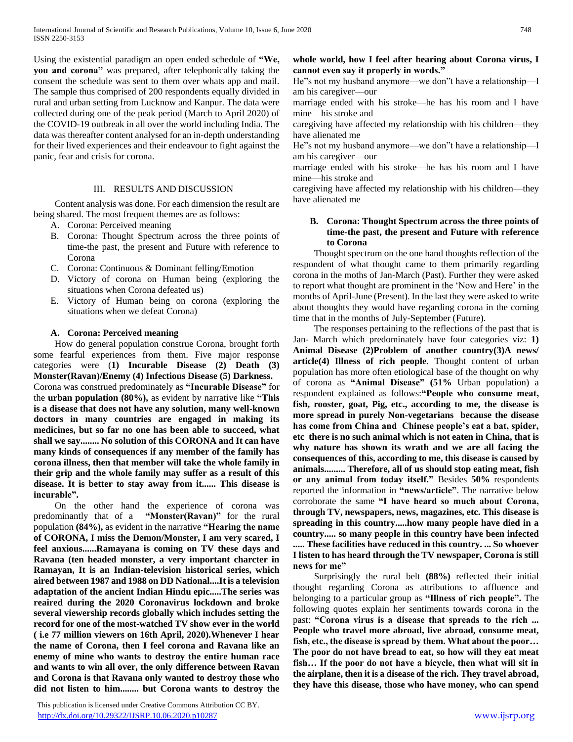Using the existential paradigm an open ended schedule of **"We, you and corona"** was prepared, after telephonically taking the consent the schedule was sent to them over whats app and mail. The sample thus comprised of 200 respondents equally divided in rural and urban setting from Lucknow and Kanpur. The data were collected during one of the peak period (March to April 2020) of the COVID-19 outbreak in all over the world including India. The data was thereafter content analysed for an in-depth understanding for their lived experiences and their endeavour to fight against the panic, fear and crisis for corona.

# III. RESULTS AND DISCUSSION

 Content analysis was done. For each dimension the result are being shared. The most frequent themes are as follows:

- A. Corona: Perceived meaning
- B. Corona: Thought Spectrum across the three points of time-the past, the present and Future with reference to Corona
- C. Corona: Continuous & Dominant felling/Emotion
- D. Victory of corona on Human being (exploring the situations when Corona defeated us)
- E. Victory of Human being on corona (exploring the situations when we defeat Corona)

## **A. Corona: Perceived meaning**

 How do general population construe Corona, brought forth some fearful experiences from them. Five major response categories were (**1) Incurable Disease (2) Death (3) Monster(Ravan)/Enemy (4) Infectious Disease (5) Darkness.** Corona was construed predominately as **"Incurable Disease"** for the **urban population (80%),** as evident by narrative like **"This is a disease that does not have any solution, many well-known doctors in many countries are engaged in making its medicines, but so far no one has been able to succeed, what shall we say........ No solution of this CORONA and It can have many kinds of consequences if any member of the family has corona illness, then that member will take the whole family in their grip and the whole family may suffer as a result of this disease. It is better to stay away from it...... This disease is incurable".**

 On the other hand the experience of corona was predominantly that of a **"Monster(Ravan)"** for the rural population **(84%),** as evident in the narrative **"Hearing the name of CORONA, I miss the Demon/Monster, I am very scared, I feel anxious......Ramayana is coming on TV these days and Ravana (ten headed monster, a very important charcter in Ramayan, It is an Indian-television historical series, which aired between 1987 and 1988 on DD National....It is a television adaptation of the ancient Indian Hindu epic.....The series was reaired during the 2020 Coronavirus lockdown and broke several viewership records globally which includes setting the record for one of the most-watched TV show ever in the world ( i.e 77 million viewers on 16th April, 2020).Whenever I hear the name of Corona, then I feel corona and Ravana like an enemy of mine who wants to destroy the entire human race and wants to win all over, the only difference between Ravan and Corona is that Ravana only wanted to destroy those who did not listen to him........ but Corona wants to destroy the** 

 This publication is licensed under Creative Commons Attribution CC BY. <http://dx.doi.org/10.29322/IJSRP.10.06.2020.p10287> [www.ijsrp.org](http://ijsrp.org/)

# **whole world, how I feel after hearing about Corona virus, I cannot even say it properly in words."**

He"s not my husband anymore—we don"t have a relationship—I am his caregiver—our

marriage ended with his stroke—he has his room and I have mine—his stroke and

caregiving have affected my relationship with his children—they have alienated me

He"s not my husband anymore—we don"t have a relationship—I am his caregiver—our

marriage ended with his stroke—he has his room and I have mine—his stroke and

caregiving have affected my relationship with his children—they have alienated me

# **B. Corona: Thought Spectrum across the three points of time-the past, the present and Future with reference to Corona**

 Thought spectrum on the one hand thoughts reflection of the respondent of what thought came to them primarily regarding corona in the moths of Jan-March (Past). Further they were asked to report what thought are prominent in the 'Now and Here' in the months of April-June (Present). In the last they were asked to write about thoughts they would have regarding corona in the coming time that in the months of July-September (Future).

 The responses pertaining to the reflections of the past that is Jan- March which predominately have four categories viz: **1) Animal Disease (2)Problem of another country(3)A news/ article(4) Illness of rich people**. Thought content of urban population has more often etiological base of the thought on why of corona as **"Animal Disease" (51%** Urban population) a respondent explained as follows:**"People who consume meat, fish, rooster, goat, Pig, etc., according to me, the disease is more spread in purely Non-vegetarians because the disease has come from China and Chinese people's eat a bat, spider, etc there is no such animal which is not eaten in China, that is why nature has shown its wrath and we are all facing the consequences of this, according to me, this disease is caused by animals......... Therefore, all of us should stop eating meat, fish or any animal from today itself."** Besides **50%** respondents reported the information in **"news/article"**. The narrative below corroborate the same **"I have heard so much about Corona, through TV, newspapers, news, magazines, etc. This disease is spreading in this country.....how many people have died in a country..... so many people in this country have been infected ..... These facilities have reduced in this country. ... So whoever I listen to has heard through the TV newspaper, Corona is still news for me"** 

 Surprisingly the rural belt **(88%)** reflected their initial thought regarding Corona as attributions to affluence and belonging to a particular group as **"Illness of rich people".** The following quotes explain her sentiments towards corona in the past: **"Corona virus is a disease that spreads to the rich ... People who travel more abroad, live abroad, consume meat, fish, etc., the disease is spread by them. What about the poor… The poor do not have bread to eat, so how will they eat meat fish… If the poor do not have a bicycle, then what will sit in the airplane, then it is a disease of the rich. They travel abroad, they have this disease, those who have money, who can spend**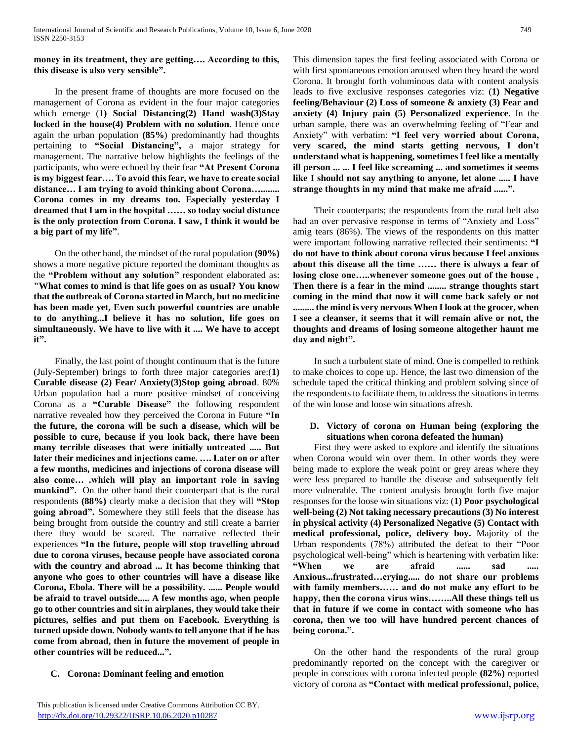**money in its treatment, they are getting…. According to this, this disease is also very sensible".**

 In the present frame of thoughts are more focused on the management of Corona as evident in the four major categories which emerge (**1) Social Distancing(2) Hand wash(3)Stay locked in the house(4) Problem with no solution**. Hence once again the urban population **(85%**) predominantly had thoughts pertaining to **"Social Distancing",** a major strategy for management. The narrative below highlights the feelings of the participants, who were echoed by their fear **"At Present Corona is my biggest fear…. To avoid this fear, we have to create social distance… I am trying to avoid thinking about Corona…........ Corona comes in my dreams too. Especially yesterday I dreamed that I am in the hospital …… so today social distance is the only protection from Corona. I saw, I think it would be a big part of my life"**.

 On the other hand, the mindset of the rural population **(90%)** shows a more negative picture reported the dominant thoughts as the **"Problem without any solution"** respondent elaborated as: **"What comes to mind is that life goes on as usual? You know that the outbreak of Corona started in March, but no medicine has been made yet, Even such powerful countries are unable to do anything...I believe it has no solution, life goes on simultaneously. We have to live with it .... We have to accept it".** 

 Finally, the last point of thought continuum that is the future (July-September) brings to forth three major categories are:(**1) Curable disease (2) Fear/ Anxiety(3)Stop going abroad**. 80% Urban population had a more positive mindset of conceiving Corona as a **"Curable Disease"** the following respondent narrative revealed how they perceived the Corona in Future **"In the future, the corona will be such a disease, which will be possible to cure, because if you look back, there have been many terrible diseases that were initially untreated ..... But later their medicines and injections came. …. Later on or after a few months, medicines and injections of corona disease will also come… .which will play an important role in saving mankind".** On the other hand their counterpart that is the rural respondents **(88%)** clearly make a decision that they will **"Stop going abroad".** Somewhere they still feels that the disease has being brought from outside the country and still create a barrier there they would be scared. The narrative reflected their experiences **"In the future, people will stop travelling abroad due to corona viruses, because people have associated corona with the country and abroad ... It has become thinking that anyone who goes to other countries will have a disease like Corona, Ebola. There will be a possibility. ...... People would be afraid to travel outside..... A few months ago, when people go to other countries and sit in airplanes, they would take their pictures, selfies and put them on Facebook. Everything is turned upside down. Nobody wants to tell anyone that if he has come from abroad, then in future the movement of people in other countries will be reduced...".**

# **C. Corona: Dominant feeling and emotion**

This dimension tapes the first feeling associated with Corona or with first spontaneous emotion aroused when they heard the word Corona. It brought forth voluminous data with content analysis leads to five exclusive responses categories viz: (**1) Negative feeling/Behaviour (2) Loss of someone & anxiety (3) Fear and anxiety (4) Injury pain (5) Personalized experience**. In the urban sample, there was an overwhelming feeling of "Fear and Anxiety" with verbatim: **"I feel very worried about Corona, very scared, the mind starts getting nervous, I don't understand what is happening, sometimes I feel like a mentally ill person ... ... I feel like screaming ... and sometimes it seems like I should not say anything to anyone, let alone ..... I have strange thoughts in my mind that make me afraid ......".**

 Their counterparts; the respondents from the rural belt also had an over pervasive response in terms of "Anxiety and Loss" amig tears (86%). The views of the respondents on this matter were important following narrative reflected their sentiments: **"I do not have to think about corona virus because I feel anxious about this disease all the time …… there is always a fear of losing close one…..whenever someone goes out of the house , Then there is a fear in the mind ........ strange thoughts start coming in the mind that now it will come back safely or not ......... the mind is very nervous When I look at the grocer, when I see a cleanser, it seems that it will remain alive or not, the thoughts and dreams of losing someone altogether haunt me day and night".**

 In such a turbulent state of mind. One is compelled to rethink to make choices to cope up. Hence, the last two dimension of the schedule taped the critical thinking and problem solving since of the respondents to facilitate them, to address the situations in terms of the win loose and loose win situations afresh.

#### **D. Victory of corona on Human being (exploring the situations when corona defeated the human)**

 First they were asked to explore and identify the situations when Corona would win over them. In other words they were being made to explore the weak point or grey areas where they were less prepared to handle the disease and subsequently felt more vulnerable. The content analysis brought forth five major responses for the loose win situations viz: (**1) Poor psychological well-being (2) Not taking necessary precautions (3) No interest in physical activity (4) Personalized Negative (5) Contact with medical professional, police, delivery boy.** Majority of the Urban respondents (78%) attributed the defeat to their "Poor psychological well-being" which is heartening with verbatim like: **"When we are afraid ...... sad ..... Anxious...frustrated…crying..... do not share our problems with family members…… and do not make any effort to be happy, then the corona virus wins……..All these things tell us that in future if we come in contact with someone who has corona, then we too will have hundred percent chances of being corona.".**

 On the other hand the respondents of the rural group predominantly reported on the concept with the caregiver or people in conscious with corona infected people **(82%)** reported victory of corona as **"Contact with medical professional, police,**